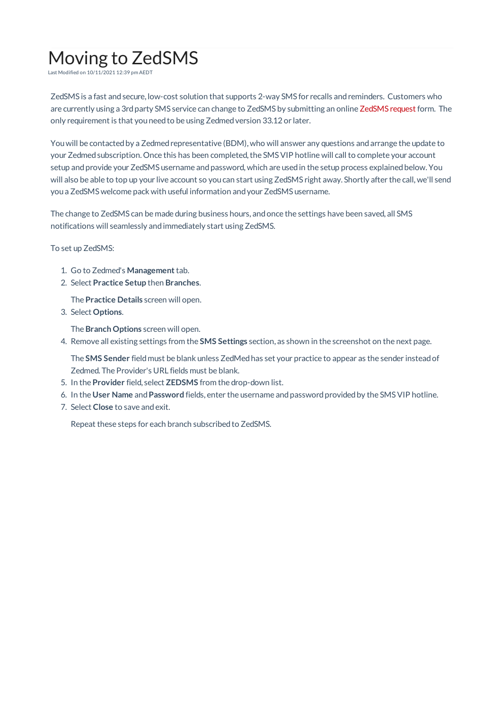## Moving to ZedSMS

Last Modified on 10/11/2021 12:39 pm AEDT

ZedSMS is a fast and secure, low-cost solution that supports 2-way SMS for recalls and reminders. Customers who are currently using a 3rd party SMS service can change to ZedSMS by submitting an online ZedSMS request form. The only requirement is that you need to be using Zedmed version 33.12 or later.

You will be contacted by a Zedmed representative (BDM), who will answer any questions and arrange the update to your Zedmed subscription. Once this has been completed, the SMS VIP hotline will call to complete your account setup and provide your ZedSMS username and password, which are used in the setup process explained below. You will also be able to top up your live account so youcan start using ZedSMS right away. Shortly after the call, we'll send youa ZedSMS welcome pack with useful information andyour ZedSMS username.

The change to ZedSMS can be made during business hours, andonce the settings have been saved, all SMS notifications will seamlessly andimmediately start using ZedSMS.

To set up ZedSMS:

- 1. Go to Zedmed's **Management**tab.
- 2. Select **Practice Setup** then **Branches**.

The **Practice Details** screen will open.

3. Select **Options**.

The **Branch Options** screen will open.

4. Remove all existing settings from the **SMS Settings** section, as shown in the screenshot on the next page.

The **SMS Sender** fieldmust be blank unless ZedMedhas set your practice to appear as the sender insteadof Zedmed. The Provider's URL fields must be blank.

- 5. In the **Provider** field, select **ZEDSMS** from the drop-down list.
- 6. In the **User Name** and**Password** fields, enter the username andpasswordprovidedby the SMSVIP hotline.
- 7. Select **Close** to save andexit.

Repeat these steps for each branch subscribed to ZedSMS.